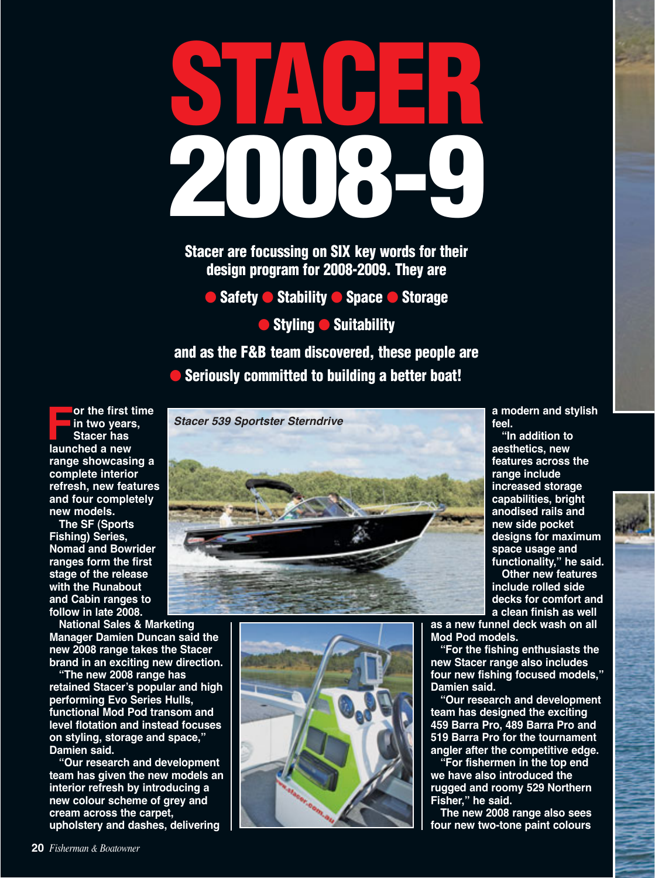# **STACER 2008-9**

**Stacer are focussing on SIX key words for their design program for 2008-2009. They are**

● **Safety** ● **Stability** ● **Space** ● **Storage** 

● **Styling ● Suitability** 

**and as the F&B team discovered, these people are**  ● **Seriously committed to building a better boat!**

**For the first time in two years, Stacer has launched a new range showcasing a complete interior refresh, new features and four completely new models.** 

**The SF (Sports Fishing) Series, Nomad and Bowrider ranges form the first stage of the release with the Runabout and Cabin ranges to follow in late 2008.** 

**National Sales & Marketing Manager Damien Duncan said the new 2008 range takes the Stacer brand in an exciting new direction.** 

**"The new 2008 range has retained Stacer's popular and high performing Evo Series Hulls, functional Mod Pod transom and level flotation and instead focuses on styling, storage and space," Damien said.** 

**"Our research and development team has given the new models an interior refresh by introducing a new colour scheme of grey and cream across the carpet, upholstery and dashes, delivering**





**a modern and stylish feel.** 

**"In addition to aesthetics, new features across the range include increased storage capabilities, bright anodised rails and new side pocket designs for maximum space usage and functionality," he said.** 

**Other new features include rolled side decks for comfort and a clean finish as well**

**as a new funnel deck wash on all Mod Pod models.** 

**"For the fishing enthusiasts the new Stacer range also includes four new fishing focused models," Damien said.** 

**"Our research and development team has designed the exciting 459 Barra Pro, 489 Barra Pro and 519 Barra Pro for the tournament angler after the competitive edge.** 

**"For fishermen in the top end we have also introduced the rugged and roomy 529 Northern Fisher," he said.**

**The new 2008 range also sees four new two-tone paint colours**

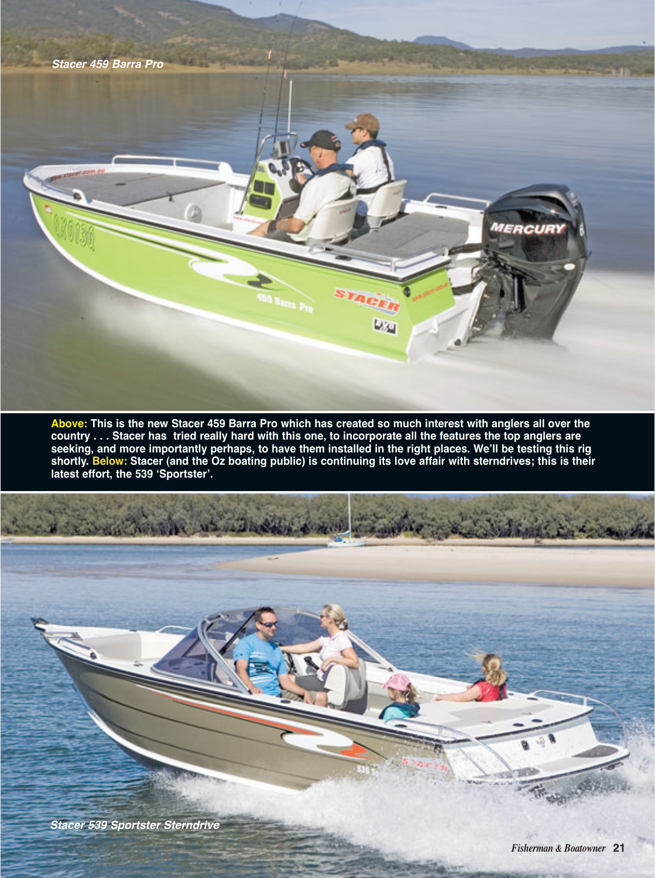

**Above: This is the new Stacer 459 Barra Pro which has created so much interest with anglers all over the country . . . Stacer has tried really hard with this one, to incorporate all the features the top anglers are seeking, and more importantly perhaps, to have them installed in the right places. We'll be testing this rig shortly. Below: Stacer (and the Oz boating public) is continuing its love affair with sterndrives; this is their latest effort, the 539 ʻSportster'.** 

**Stacer 539 Sportster Sterndrive**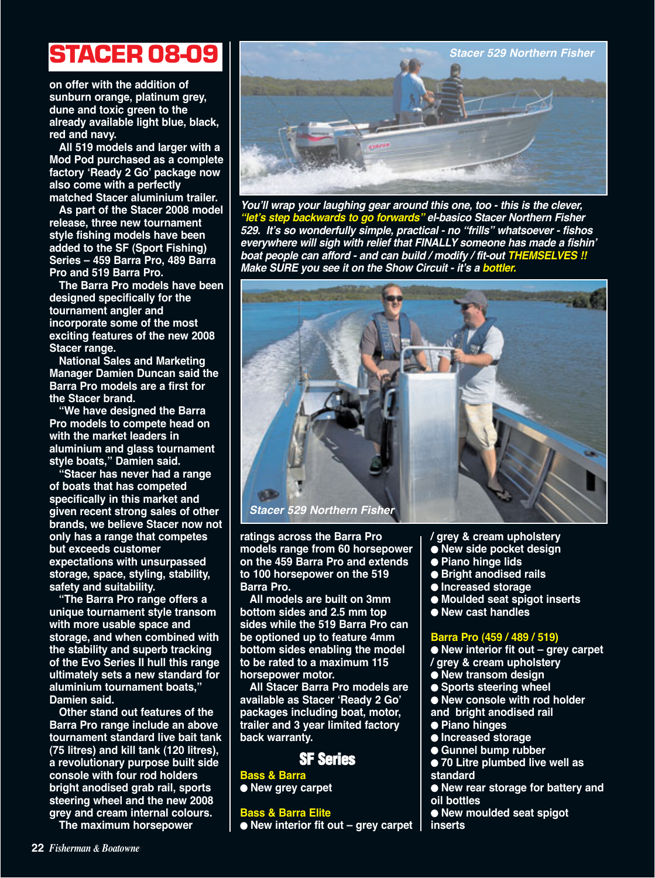**on offer with the addition of sunburn orange, platinum grey, dune and toxic green to the already available light blue, black, red and navy.**

**All 519 models and larger with a Mod Pod purchased as a complete factory ʻReady 2 Go' package now also come with a perfectly matched Stacer aluminium trailer.**

**As part of the Stacer 2008 model release, three new tournament style fishing models have been added to the SF (Sport Fishing) Series – 459 Barra Pro, 489 Barra Pro and 519 Barra Pro.**

**The Barra Pro models have been designed specifically for the tournament angler and incorporate some of the most exciting features of the new 2008 Stacer range.** 

**National Sales and Marketing Manager Damien Duncan said the Barra Pro models are a first for the Stacer brand.** 

**"We have designed the Barra Pro models to compete head on with the market leaders in aluminium and glass tournament style boats," Damien said.** 

**"Stacer has never had a range of boats that has competed specifically in this market and given recent strong sales of other brands, we believe Stacer now not only has a range that competes but exceeds customer expectations with unsurpassed storage, space, styling, stability, safety and suitability.** 

**"The Barra Pro range offers a unique tournament style transom with more usable space and storage, and when combined with the stability and superb tracking of the Evo Series II hull this range ultimately sets a new standard for aluminium tournament boats," Damien said.** 

**Other stand out features of the Barra Pro range include an above tournament standard live bait tank (75 litres) and kill tank (120 litres), a revolutionary purpose built side console with four rod holders bright anodised grab rail, sports steering wheel and the new 2008 grey and cream internal colours. The maximum horsepower**



**You'll wrap your laughing gear around this one, too - this is the clever, "let's step backwards to go forwards" el-basico Stacer Northern Fisher 529. It's so wonderfully simple, practical - no "frills" whatsoever - fishos everywhere will sigh with relief that FINALLY someone has made a fishin' boat people can afford - and can build / modify / fit-out THEMSELVES !! Make SURE you see it on the Show Circuit - it's a bottler.** 



**ratings across the Barra Pro models range from 60 horsepower on the 459 Barra Pro and extends to 100 horsepower on the 519 Barra Pro.** 

**All models are built on 3mm bottom sides and 2.5 mm top sides while the 519 Barra Pro can be optioned up to feature 4mm bottom sides enabling the model to be rated to a maximum 115 horsepower motor.** 

**All Stacer Barra Pro models are available as Stacer ʻReady 2 Go' packages including boat, motor, trailer and 3 year limited factory back warranty.**

**SF Series**

**Bass & Barra** ● **New grey carpet**

**Bass & Barra Elite** ● **New interior fit out – grey carpet** **/ grey & cream upholstery**

- **New side pocket design**
- **Piano hinge lids**
- **Bright anodised rails**
- **Increased storage**
- **Moulded seat spigot inserts**
- **New cast handles**

# **Barra Pro (459 / 489 / 519)**

● **New interior fit out – grey carpet / grey & cream upholstery**

- **New transom design**
- **Sports steering wheel**
- **New console with rod holder**
- **and bright anodised rail**
- **Piano hinges**
- **Increased storage**
- **Gunnel bump rubber**
- **70 Litre plumbed live well as standard**
- **New rear storage for battery and oil bottles**
- 
- **New moulded seat spigot inserts**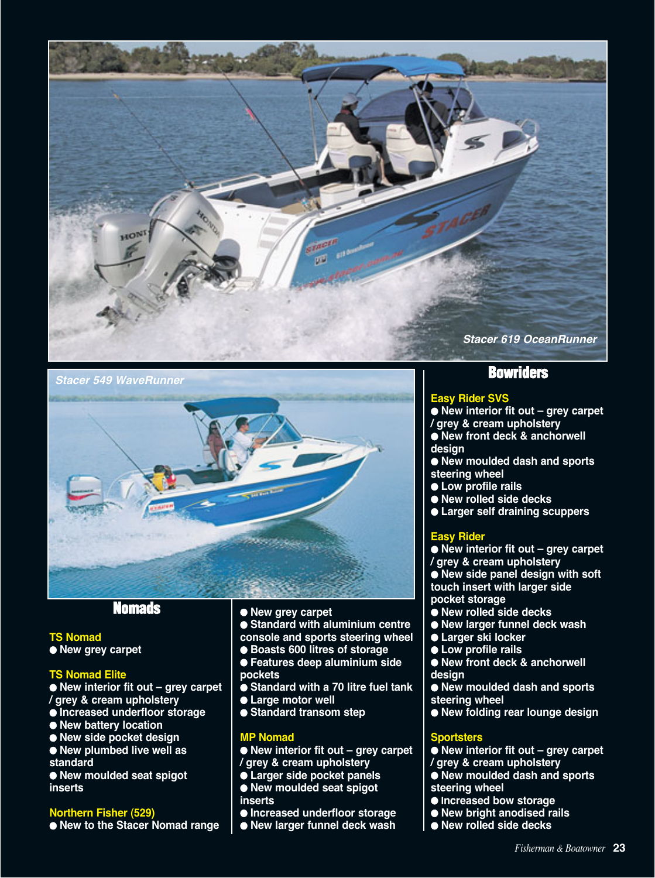

**Stacer 549 WaveRunner**



# **Nomads**

**TS Nomad** ● **New grey carpet**

# **TS Nomad Elite**

● **New interior fit out – grey carpet / grey & cream upholstery**

- **Increased underfloor storage**
- **New battery location**
- **New side pocket design**
- **New plumbed live well as standard**

● **New moulded seat spigot inserts**

# **Northern Fisher (529)**

● **New to the Stacer Nomad range**

# ● **New grey carpet**

● **Standard with aluminium centre console and sports steering wheel**

- **Boasts 600 litres of storage**
- **Features deep aluminium side pockets**
- **Standard with a 70 litre fuel tank**
- **Large motor well**
- **Standard transom step**

# **MP Nomad**

● **New interior fit out – grey carpet / grey & cream upholstery**

- **Larger side pocket panels**
- **New moulded seat spigot inserts**
- **Increased underfloor storage**
- **New larger funnel deck wash**

# **Bowriders**

# **Easy Rider SVS**

- **New interior fit out grey carpet / grey & cream upholstery** ● **New front deck & anchorwell**
- **design**
- **New moulded dash and sports steering wheel**
- **Low profile rails**
- **New rolled side decks**
- **Larger self draining scuppers**

# **Easy Rider**

● **New interior fit out – grey carpet / grey & cream upholstery** ● **New side panel design with soft touch insert with larger side pocket storage**

- **New rolled side decks**
- **New larger funnel deck wash**
- **Larger ski locker**
- **Low profile rails**
- **New front deck & anchorwell design**
- **New moulded dash and sports steering wheel**
- **New folding rear lounge design**

# **Sportsters**

- **New interior fit out grey carpet**
- **/ grey & cream upholstery**
- **New moulded dash and sports**
- **steering wheel**
- **Increased bow storage**
- **New bright anodised rails**
- **New rolled side decks**